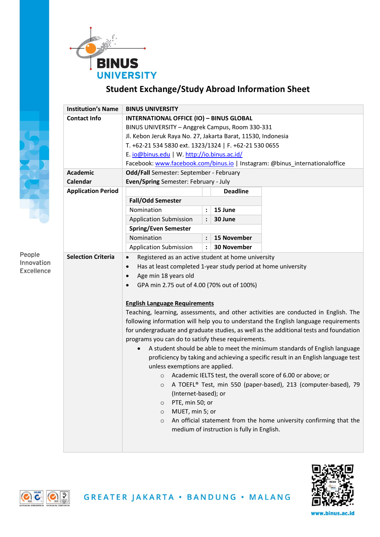

## **Student Exchange/Study Abroad Information Sheet**

|            | <b>Institution's Name</b> | <b>BINUS UNIVERSITY</b>                                                                |                      |                                            |  |  |  |
|------------|---------------------------|----------------------------------------------------------------------------------------|----------------------|--------------------------------------------|--|--|--|
|            | <b>Contact Info</b>       | <b>INTERNATIONAL OFFICE (IO) - BINUS GLOBAL</b>                                        |                      |                                            |  |  |  |
|            |                           | BINUS UNIVERSITY - Anggrek Campus, Room 330-331                                        |                      |                                            |  |  |  |
|            |                           | Jl. Kebon Jeruk Raya No. 27, Jakarta Barat, 11530, Indonesia                           |                      |                                            |  |  |  |
|            |                           | T. +62-21 534 5830 ext. 1323/1324   F. +62-21 530 0655                                 |                      |                                            |  |  |  |
|            |                           | E. io@binus.edu   W. http://io.binus.ac.id/                                            |                      |                                            |  |  |  |
|            |                           | Facebook: www.facebook.com/binus.io   Instagram: @binus_internationaloffice            |                      |                                            |  |  |  |
|            | <b>Academic</b>           | Odd/Fall Semester: September - February                                                |                      |                                            |  |  |  |
|            | Calendar                  | Even/Spring Semester: February - July                                                  |                      |                                            |  |  |  |
|            | <b>Application Period</b> |                                                                                        |                      | <b>Deadline</b>                            |  |  |  |
|            |                           | <b>Fall/Odd Semester</b>                                                               |                      |                                            |  |  |  |
|            |                           | Nomination                                                                             | $\ddot{\cdot}$       | 15 June                                    |  |  |  |
|            |                           | <b>Application Submission</b>                                                          |                      | 30 June                                    |  |  |  |
|            |                           | <b>Spring/Even Semester</b>                                                            |                      |                                            |  |  |  |
|            |                           | Nomination                                                                             | $\ddot{\phantom{a}}$ | 15 November                                |  |  |  |
|            |                           | <b>Application Submission</b>                                                          | $\ddot{\phantom{a}}$ | 30 November                                |  |  |  |
| People     | <b>Selection Criteria</b> | Registered as an active student at home university<br>$\bullet$                        |                      |                                            |  |  |  |
| Innovation |                           | Has at least completed 1-year study period at home university<br>$\bullet$             |                      |                                            |  |  |  |
| Excellence |                           | Age min 18 years old<br>$\bullet$                                                      |                      |                                            |  |  |  |
|            |                           | GPA min 2.75 out of 4.00 (70% out of 100%)<br>$\bullet$                                |                      |                                            |  |  |  |
|            |                           |                                                                                        |                      |                                            |  |  |  |
|            |                           | <b>English Language Requirements</b>                                                   |                      |                                            |  |  |  |
|            |                           | Teaching, learning, assessments, and other activities are conducted in English. The    |                      |                                            |  |  |  |
|            |                           | following information will help you to understand the English language requirements    |                      |                                            |  |  |  |
|            |                           | for undergraduate and graduate studies, as well as the additional tests and foundation |                      |                                            |  |  |  |
|            |                           | programs you can do to satisfy these requirements.                                     |                      |                                            |  |  |  |
|            |                           | A student should be able to meet the minimum standards of English language             |                      |                                            |  |  |  |
|            |                           | proficiency by taking and achieving a specific result in an English language test      |                      |                                            |  |  |  |
|            |                           | unless exemptions are applied.                                                         |                      |                                            |  |  |  |
|            |                           | Academic IELTS test, the overall score of 6.00 or above; or<br>$\circ$                 |                      |                                            |  |  |  |
|            |                           | A TOEFL® Test, min 550 (paper-based), 213 (computer-based), 79<br>$\circ$              |                      |                                            |  |  |  |
|            |                           | (Internet-based); or                                                                   |                      |                                            |  |  |  |
|            |                           | PTE, min 50; or<br>O                                                                   |                      |                                            |  |  |  |
|            |                           | MUET, min 5; or<br>$\circ$                                                             |                      |                                            |  |  |  |
|            |                           | An official statement from the home university confirming that the<br>$\circ$          |                      |                                            |  |  |  |
|            |                           |                                                                                        |                      | medium of instruction is fully in English. |  |  |  |
|            |                           |                                                                                        |                      |                                            |  |  |  |
|            |                           |                                                                                        |                      |                                            |  |  |  |





www.binus.ac.id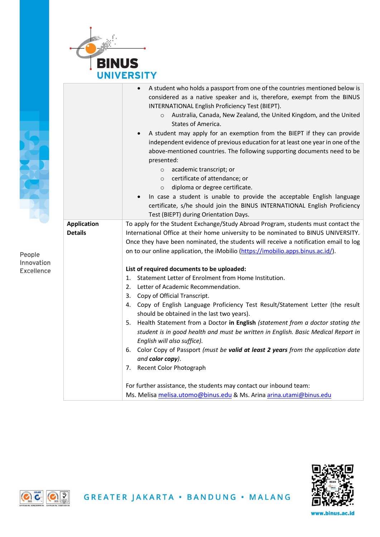

|                   |                    | A student who holds a passport from one of the countries mentioned below is<br>considered as a native speaker and is, therefore, exempt from the BINUS<br>INTERNATIONAL English Proficiency Test (BIEPT).<br>Australia, Canada, New Zealand, the United Kingdom, and the United<br>$\circ$<br>States of America.<br>A student may apply for an exemption from the BIEPT if they can provide<br>independent evidence of previous education for at least one year in one of the<br>above-mentioned countries. The following supporting documents need to be<br>presented:<br>academic transcript; or<br>$\circ$<br>certificate of attendance; or<br>$\circ$<br>diploma or degree certificate.<br>$\circ$<br>In case a student is unable to provide the acceptable English language<br>certificate, s/he should join the BINUS INTERNATIONAL English Proficiency<br>Test (BIEPT) during Orientation Days. |  |  |
|-------------------|--------------------|--------------------------------------------------------------------------------------------------------------------------------------------------------------------------------------------------------------------------------------------------------------------------------------------------------------------------------------------------------------------------------------------------------------------------------------------------------------------------------------------------------------------------------------------------------------------------------------------------------------------------------------------------------------------------------------------------------------------------------------------------------------------------------------------------------------------------------------------------------------------------------------------------------|--|--|
|                   | <b>Application</b> | To apply for the Student Exchange/Study Abroad Program, students must contact the                                                                                                                                                                                                                                                                                                                                                                                                                                                                                                                                                                                                                                                                                                                                                                                                                      |  |  |
|                   | <b>Details</b>     | International Office at their home university to be nominated to BINUS UNIVERSITY.                                                                                                                                                                                                                                                                                                                                                                                                                                                                                                                                                                                                                                                                                                                                                                                                                     |  |  |
|                   |                    | Once they have been nominated, the students will receive a notification email to log                                                                                                                                                                                                                                                                                                                                                                                                                                                                                                                                                                                                                                                                                                                                                                                                                   |  |  |
| People            |                    | on to our online application, the iMobilio (https://imobilio.apps.binus.ac.id/).                                                                                                                                                                                                                                                                                                                                                                                                                                                                                                                                                                                                                                                                                                                                                                                                                       |  |  |
| Innovation        |                    |                                                                                                                                                                                                                                                                                                                                                                                                                                                                                                                                                                                                                                                                                                                                                                                                                                                                                                        |  |  |
| <b>Excellence</b> |                    | List of required documents to be uploaded:<br>1. Statement Letter of Enrolment from Home Institution.                                                                                                                                                                                                                                                                                                                                                                                                                                                                                                                                                                                                                                                                                                                                                                                                  |  |  |
|                   |                    | 2. Letter of Academic Recommendation.                                                                                                                                                                                                                                                                                                                                                                                                                                                                                                                                                                                                                                                                                                                                                                                                                                                                  |  |  |
|                   |                    | 3. Copy of Official Transcript.                                                                                                                                                                                                                                                                                                                                                                                                                                                                                                                                                                                                                                                                                                                                                                                                                                                                        |  |  |
|                   |                    | 4. Copy of English Language Proficiency Test Result/Statement Letter (the result                                                                                                                                                                                                                                                                                                                                                                                                                                                                                                                                                                                                                                                                                                                                                                                                                       |  |  |
|                   |                    | should be obtained in the last two years).                                                                                                                                                                                                                                                                                                                                                                                                                                                                                                                                                                                                                                                                                                                                                                                                                                                             |  |  |
|                   |                    | Health Statement from a Doctor in English (statement from a doctor stating the<br>5.                                                                                                                                                                                                                                                                                                                                                                                                                                                                                                                                                                                                                                                                                                                                                                                                                   |  |  |
|                   |                    | student is in good health and must be written in English. Basic Medical Report in                                                                                                                                                                                                                                                                                                                                                                                                                                                                                                                                                                                                                                                                                                                                                                                                                      |  |  |
|                   |                    | English will also suffice).                                                                                                                                                                                                                                                                                                                                                                                                                                                                                                                                                                                                                                                                                                                                                                                                                                                                            |  |  |
|                   |                    | 6. Color Copy of Passport (must be valid at least 2 years from the application date                                                                                                                                                                                                                                                                                                                                                                                                                                                                                                                                                                                                                                                                                                                                                                                                                    |  |  |
|                   |                    | and color copy).                                                                                                                                                                                                                                                                                                                                                                                                                                                                                                                                                                                                                                                                                                                                                                                                                                                                                       |  |  |
|                   |                    | 7. Recent Color Photograph                                                                                                                                                                                                                                                                                                                                                                                                                                                                                                                                                                                                                                                                                                                                                                                                                                                                             |  |  |
|                   |                    | For further assistance, the students may contact our inbound team:                                                                                                                                                                                                                                                                                                                                                                                                                                                                                                                                                                                                                                                                                                                                                                                                                                     |  |  |
|                   |                    | Ms. Melisa melisa.utomo@binus.edu & Ms. Arina arina.utami@binus.edu                                                                                                                                                                                                                                                                                                                                                                                                                                                                                                                                                                                                                                                                                                                                                                                                                                    |  |  |



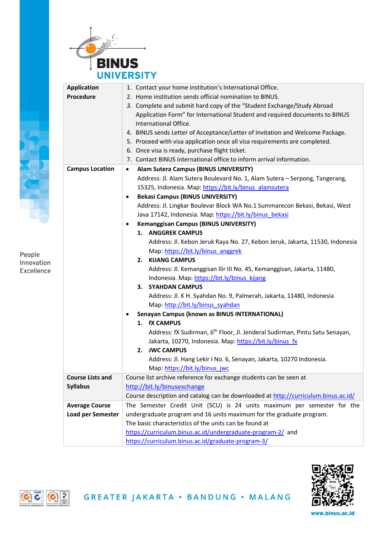

|                         | <b>Application</b>       | 1. Contact your home institution's International Office.                                |  |  |  |
|-------------------------|--------------------------|-----------------------------------------------------------------------------------------|--|--|--|
|                         | Procedure                | 2. Home institution sends official nomination to BINUS.                                 |  |  |  |
|                         |                          | 3. Complete and submit hard copy of the "Student Exchange/Study Abroad                  |  |  |  |
|                         |                          | Application Form" for International Student and required documents to BINUS             |  |  |  |
|                         |                          | International Office.                                                                   |  |  |  |
|                         |                          | 4. BINUS sends Letter of Acceptance/Letter of Invitation and Welcome Package.           |  |  |  |
|                         |                          | 5. Proceed with visa application once all visa requirements are completed.              |  |  |  |
|                         |                          | 6. Once visa is ready, purchase flight ticket.                                          |  |  |  |
|                         |                          | 7. Contact BINUS international office to inform arrival information.                    |  |  |  |
|                         | <b>Campus Location</b>   | Alam Sutera Campus (BINUS UNIVERSITY)<br>$\bullet$                                      |  |  |  |
|                         |                          | Address: Jl. Alam Sutera Boulevard No. 1, Alam Sutera - Serpong, Tangerang,             |  |  |  |
|                         |                          | 15325, Indonesia. Map: https://bit.ly/binus alamsutera                                  |  |  |  |
|                         |                          | <b>Bekasi Campus (BINUS UNIVERSITY)</b><br>$\bullet$                                    |  |  |  |
|                         |                          | Address: Jl. Lingkar Boulevar Block WA No.1 Summarecon Bekasi, Bekasi, West             |  |  |  |
|                         |                          | Java 17142, Indonesia. Map: https://bit.ly/binus_bekasi                                 |  |  |  |
|                         |                          | <b>Kemanggisan Campus (BINUS UNIVERSITY)</b><br>٠                                       |  |  |  |
|                         |                          | 1. ANGGREK CAMPUS                                                                       |  |  |  |
|                         |                          | Address: Jl. Kebon Jeruk Raya No. 27, Kebon Jeruk, Jakarta, 11530, Indonesia            |  |  |  |
|                         |                          | Map: https://bit.ly/binus anggrek                                                       |  |  |  |
|                         |                          | <b>KIJANG CAMPUS</b><br>2.                                                              |  |  |  |
|                         |                          | Address: Jl. Kemanggisan Ilir III No. 45, Kemanggisan, Jakarta, 11480,                  |  |  |  |
|                         |                          | Indonesia. Map: https://bit.ly/binus_kijang                                             |  |  |  |
|                         |                          | <b>SYAHDAN CAMPUS</b><br>3.                                                             |  |  |  |
|                         |                          | Address: Jl. K H. Syahdan No. 9, Palmerah, Jakarta, 11480, Indonesia                    |  |  |  |
|                         |                          | Map: http://bit.ly/binus_syahdan                                                        |  |  |  |
|                         |                          | Senayan Campus (known as BINUS INTERNATIONAL)<br>$\bullet$                              |  |  |  |
|                         |                          | 1. fX CAMPUS                                                                            |  |  |  |
|                         |                          | Address: fX Sudirman, 6 <sup>th</sup> Floor, Jl. Jenderal Sudirman, Pintu Satu Senayan, |  |  |  |
|                         |                          | Jakarta, 10270, Indonesia. Map: https://bit.ly/binus fx                                 |  |  |  |
|                         |                          | <b>JWC CAMPUS</b><br>2.                                                                 |  |  |  |
|                         |                          | Address: Jl. Hang Lekir I No. 6, Senayan, Jakarta, 10270 Indonesia.                     |  |  |  |
| <b>Course Lists and</b> |                          | Map: https://bit.ly/binus_jwc                                                           |  |  |  |
|                         |                          | Course list archive reference for exchange students can be seen at                      |  |  |  |
|                         | <b>Syllabus</b>          | http://bit.ly/binusexchange                                                             |  |  |  |
|                         |                          | Course description and catalog can be downloaded at http://curriculum.binus.ac.id/      |  |  |  |
|                         | <b>Average Course</b>    | The Semester Credit Unit (SCU) is 24 units maximum per semester for the                 |  |  |  |
|                         | <b>Load per Semester</b> | undergraduate program and 16 units maximum for the graduate program.                    |  |  |  |
|                         |                          | The basic characteristics of the units can be found at                                  |  |  |  |
|                         |                          | https://curriculum.binus.ac.id/undergraduate-program-2/ and                             |  |  |  |
|                         |                          | https://curriculum.binus.ac.id/graduate-program-3/                                      |  |  |  |



People Innovation Excellence